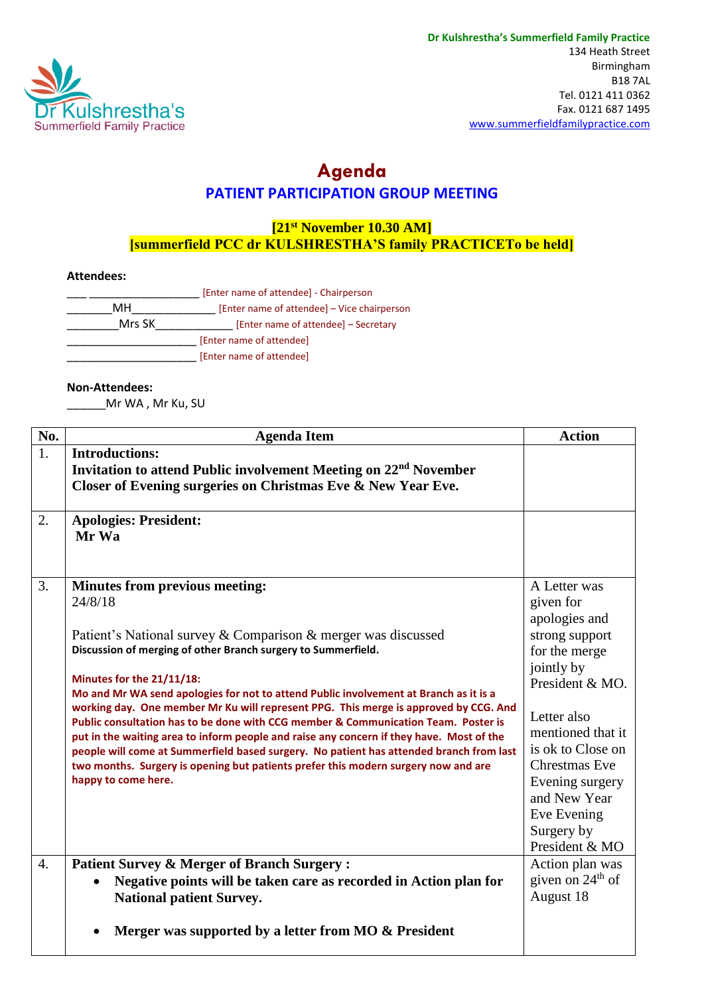

## **Agenda PATIENT PARTICIPATION GROUP MEETING**

## **[21st November 10.30 AM] [summerfield PCC dr KULSHRESTHA'S family PRACTICETo be held]**

## **Attendees:**

|        | [Enter name of attendee] - Chairperson      |
|--------|---------------------------------------------|
| MН     | [Enter name of attendee] – Vice chairperson |
| Mrs SK | [Enter name of attendee] - Secretary        |
|        | [Enter name of attendee]                    |
|        | [Enter name of attendee]                    |

## **Non-Attendees:**

\_Mr WA , Mr Ku, SU

| No.              | <b>Agenda Item</b>                                                                                                                                                                                                                                                                                                                                                                                                                                                                                                                                                                                                                                                                                                                                                                         | <b>Action</b>                                                                                                                                                                                                                                                                     |
|------------------|--------------------------------------------------------------------------------------------------------------------------------------------------------------------------------------------------------------------------------------------------------------------------------------------------------------------------------------------------------------------------------------------------------------------------------------------------------------------------------------------------------------------------------------------------------------------------------------------------------------------------------------------------------------------------------------------------------------------------------------------------------------------------------------------|-----------------------------------------------------------------------------------------------------------------------------------------------------------------------------------------------------------------------------------------------------------------------------------|
| 1.               | <b>Introductions:</b><br>Invitation to attend Public involvement Meeting on 22 <sup>nd</sup> November<br>Closer of Evening surgeries on Christmas Eve & New Year Eve.                                                                                                                                                                                                                                                                                                                                                                                                                                                                                                                                                                                                                      |                                                                                                                                                                                                                                                                                   |
| 2.               | <b>Apologies: President:</b><br>Mr Wa                                                                                                                                                                                                                                                                                                                                                                                                                                                                                                                                                                                                                                                                                                                                                      |                                                                                                                                                                                                                                                                                   |
| $\overline{3}$ . | <b>Minutes from previous meeting:</b><br>24/8/18<br>Patient's National survey & Comparison & merger was discussed<br>Discussion of merging of other Branch surgery to Summerfield.<br>Minutes for the 21/11/18:<br>Mo and Mr WA send apologies for not to attend Public involvement at Branch as it is a<br>working day. One member Mr Ku will represent PPG. This merge is approved by CCG. And<br>Public consultation has to be done with CCG member & Communication Team. Poster is<br>put in the waiting area to inform people and raise any concern if they have. Most of the<br>people will come at Summerfield based surgery. No patient has attended branch from last<br>two months. Surgery is opening but patients prefer this modern surgery now and are<br>happy to come here. | A Letter was<br>given for<br>apologies and<br>strong support<br>for the merge<br>jointly by<br>President & MO.<br>Letter also<br>mentioned that it<br>is ok to Close on<br><b>Chrestmas Eve</b><br>Evening surgery<br>and New Year<br>Eve Evening<br>Surgery by<br>President & MO |
| $\overline{4}$ . | <b>Patient Survey &amp; Merger of Branch Surgery:</b><br>Negative points will be taken care as recorded in Action plan for<br><b>National patient Survey.</b><br>Merger was supported by a letter from MO & President                                                                                                                                                                                                                                                                                                                                                                                                                                                                                                                                                                      | Action plan was<br>given on $24th$ of<br>August 18                                                                                                                                                                                                                                |